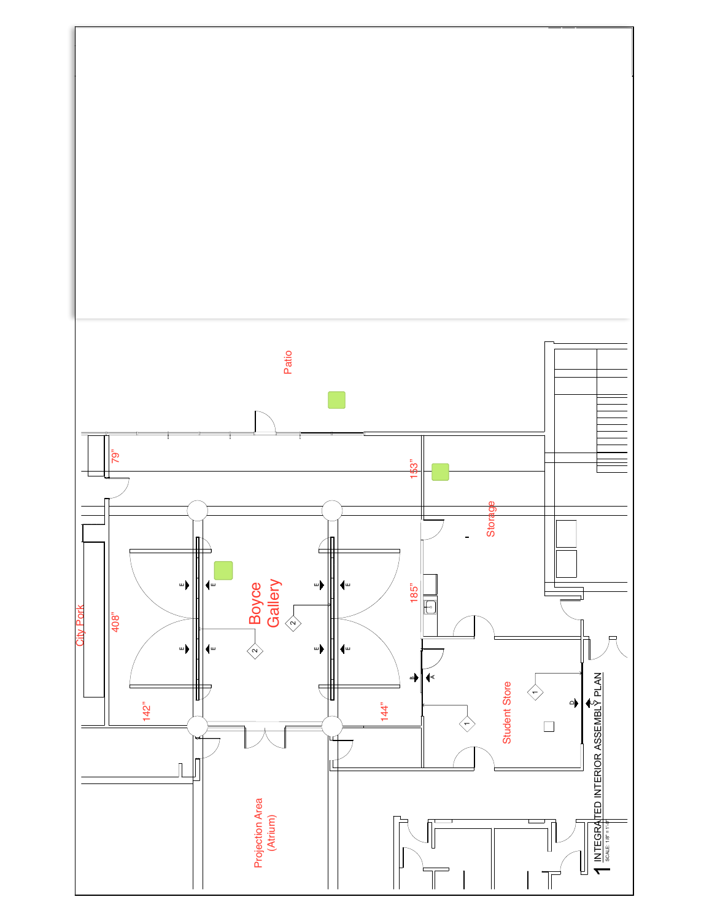